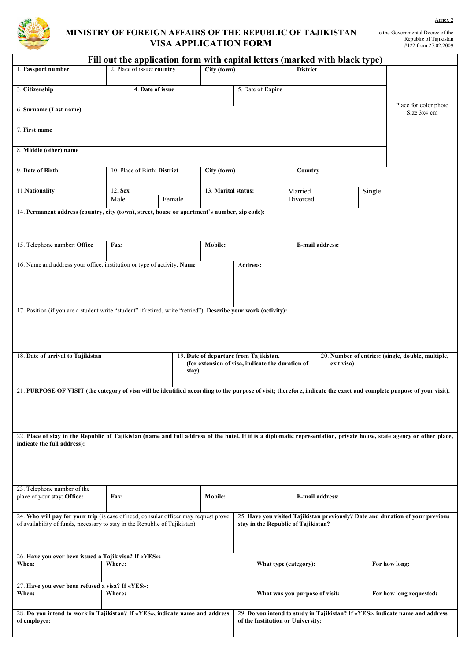

## **MINISTRY OF FOREIGN AFFAIRS OF THE REPUBLIC OF TAJIKISTAN VISA APPLICATION FORM**

| Fill out the application form with capital letters (marked with black type)                                                                                                                           |                                                                                              |                                           |                   |                                                                |                                                                                                                       |  |                               |                         |               |                                      |
|-------------------------------------------------------------------------------------------------------------------------------------------------------------------------------------------------------|----------------------------------------------------------------------------------------------|-------------------------------------------|-------------------|----------------------------------------------------------------|-----------------------------------------------------------------------------------------------------------------------|--|-------------------------------|-------------------------|---------------|--------------------------------------|
| 1. Passport number                                                                                                                                                                                    |                                                                                              | 2. Place of issue: country<br>City (town) |                   | <b>District</b>                                                |                                                                                                                       |  |                               |                         |               |                                      |
| 3. Citizenship                                                                                                                                                                                        | 4. Date of issue                                                                             |                                           | 5. Date of Expire |                                                                |                                                                                                                       |  |                               |                         |               |                                      |
| 6. Surname (Last name)                                                                                                                                                                                |                                                                                              |                                           |                   |                                                                |                                                                                                                       |  |                               |                         |               | Place for color photo<br>Size 3x4 cm |
| 7. First name                                                                                                                                                                                         |                                                                                              |                                           |                   |                                                                |                                                                                                                       |  |                               |                         |               |                                      |
| 8. Middle (other) name                                                                                                                                                                                |                                                                                              |                                           |                   |                                                                |                                                                                                                       |  |                               |                         |               |                                      |
| 9. Date of Birth                                                                                                                                                                                      | 10. Place of Birth: District                                                                 |                                           |                   | City (town)                                                    |                                                                                                                       |  | Country                       |                         |               |                                      |
| 11.Nationality                                                                                                                                                                                        | 12. Sex<br>Male<br>Female                                                                    |                                           |                   | 13. Marital status:                                            |                                                                                                                       |  | Married<br>Single<br>Divorced |                         |               |                                      |
|                                                                                                                                                                                                       | 14. Permanent address (country, city (town), street, house or apartment's number, zip code): |                                           |                   |                                                                |                                                                                                                       |  |                               |                         |               |                                      |
|                                                                                                                                                                                                       |                                                                                              |                                           |                   |                                                                |                                                                                                                       |  |                               |                         |               |                                      |
| 15. Telephone number: Office                                                                                                                                                                          | Fax:                                                                                         |                                           |                   | Mobile:                                                        |                                                                                                                       |  | <b>E-mail address:</b>        |                         |               |                                      |
| 16. Name and address your office, institution or type of activity: Name                                                                                                                               |                                                                                              |                                           |                   |                                                                | <b>Address:</b>                                                                                                       |  |                               |                         |               |                                      |
|                                                                                                                                                                                                       |                                                                                              |                                           |                   |                                                                |                                                                                                                       |  |                               |                         |               |                                      |
| 17. Position (if you are a student write "student" if retired, write "retried"). Describe your work (activity):                                                                                       |                                                                                              |                                           |                   |                                                                |                                                                                                                       |  |                               |                         |               |                                      |
|                                                                                                                                                                                                       |                                                                                              |                                           |                   |                                                                |                                                                                                                       |  |                               |                         |               |                                      |
| 18. Date of arrival to Tajikistan                                                                                                                                                                     | 19. Date of departure from Tajikistan.<br>20. Number of entries: (single, double, multiple,  |                                           |                   |                                                                |                                                                                                                       |  |                               |                         |               |                                      |
|                                                                                                                                                                                                       |                                                                                              |                                           | stay)             | (for extension of visa, indicate the duration of<br>exit visa) |                                                                                                                       |  |                               |                         |               |                                      |
| 21. PURPOSE OF VISIT (the category of visa will be identified according to the purpose of visit; therefore, indicate the exact and complete purpose of your visit).                                   |                                                                                              |                                           |                   |                                                                |                                                                                                                       |  |                               |                         |               |                                      |
|                                                                                                                                                                                                       |                                                                                              |                                           |                   |                                                                |                                                                                                                       |  |                               |                         |               |                                      |
| 22. Place of stay in the Republic of Tajikistan (name and full address of the hotel. If it is a diplomatic representation, private house, state agency or other place,<br>indicate the full address): |                                                                                              |                                           |                   |                                                                |                                                                                                                       |  |                               |                         |               |                                      |
|                                                                                                                                                                                                       |                                                                                              |                                           |                   |                                                                |                                                                                                                       |  |                               |                         |               |                                      |
|                                                                                                                                                                                                       |                                                                                              |                                           |                   |                                                                |                                                                                                                       |  |                               |                         |               |                                      |
| 23. Telephone number of the<br>place of your stay: Office:                                                                                                                                            | Fax:                                                                                         |                                           |                   | Mobile:                                                        |                                                                                                                       |  | E-mail address:               |                         |               |                                      |
| 24. Who will pay for your trip (is case of need, consular officer may request prove<br>of availability of funds, necessary to stay in the Republic of Tajikistan)                                     |                                                                                              |                                           |                   |                                                                | 25. Have you visited Tajikistan previously? Date and duration of your previous<br>stay in the Republic of Tajikistan? |  |                               |                         |               |                                      |
|                                                                                                                                                                                                       |                                                                                              |                                           |                   |                                                                |                                                                                                                       |  |                               |                         |               |                                      |
| 26. Have you ever been issued a Tajik visa? If «YES»:<br>When:<br>Where:                                                                                                                              |                                                                                              |                                           |                   |                                                                | What type (category):                                                                                                 |  |                               |                         | For how long: |                                      |
| When:                                                                                                                                                                                                 | 27. Have you ever been refused a visa? If «YES»:<br>Where:                                   |                                           |                   |                                                                | What was you purpose of visit:                                                                                        |  |                               | For how long requested: |               |                                      |
| 28. Do you intend to work in Tajikistan? If «YES», indicate name and address<br>of employer:                                                                                                          |                                                                                              |                                           |                   |                                                                | 29. Do you intend to study in Tajikistan? If «YES», indicate name and address<br>of the Institution or University:    |  |                               |                         |               |                                      |